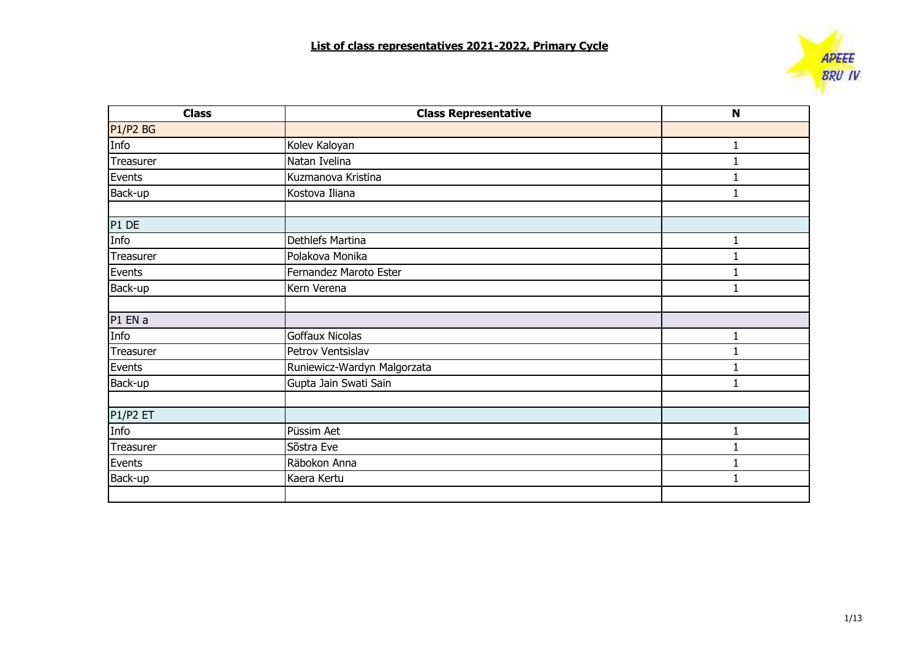

| <b>Class</b> | <b>Class Representative</b> | $\mathbf N$ |
|--------------|-----------------------------|-------------|
| P1/P2 BG     |                             |             |
| Info         | Kolev Kaloyan               |             |
| Treasurer    | Natan Ivelina               |             |
| Events       | Kuzmanova Kristina          |             |
| Back-up      | Kostova Iliana              |             |
| P1 DE        |                             |             |
| Info         | Dethlefs Martina            |             |
| Treasurer    | Polakova Monika             |             |
| Events       | Fernandez Maroto Ester      |             |
| Back-up      | Kern Verena                 |             |
| P1 EN a      |                             |             |
| Info         | <b>Goffaux Nicolas</b>      | 1           |
| Treasurer    | Petrov Ventsislav           |             |
| Events       | Runiewicz-Wardyn Malgorzata |             |
| Back-up      | Gupta Jain Swati Sain       |             |
| P1/P2 ET     |                             |             |
| Info         | Püssim Aet                  | 1           |
| Treasurer    | Sõstra Eve                  |             |
| Events       | Räbokon Anna                |             |
| Back-up      | Kaera Kertu                 |             |
|              |                             |             |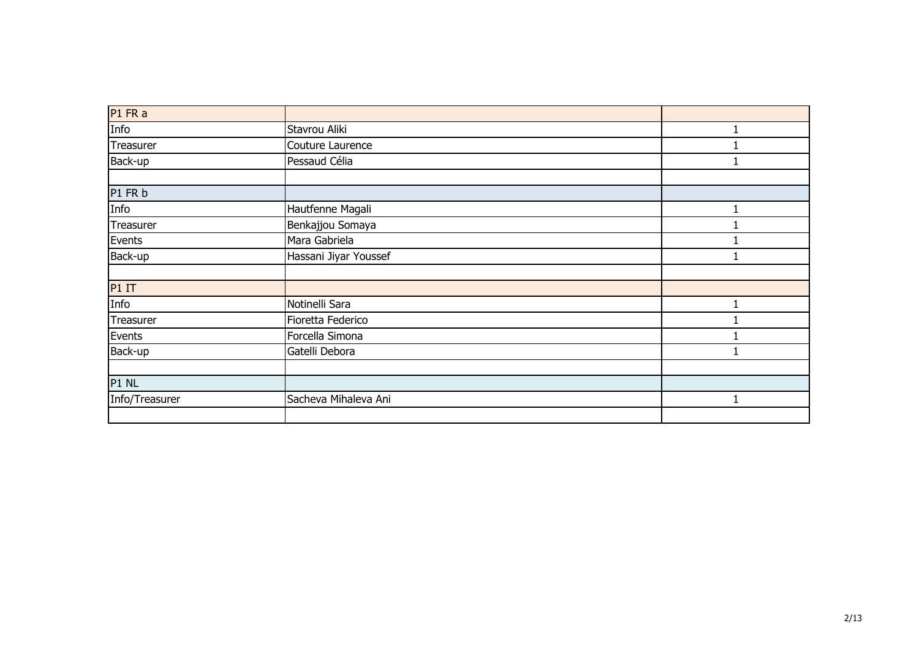| P1 FR a        |                       |  |
|----------------|-----------------------|--|
| Info           | Stavrou Aliki         |  |
| Treasurer      | Couture Laurence      |  |
| Back-up        | Pessaud Célia         |  |
|                |                       |  |
| P1 FR b        |                       |  |
| Info           | Hautfenne Magali      |  |
| Treasurer      | Benkajjou Somaya      |  |
| Events         | Mara Gabriela         |  |
| Back-up        | Hassani Jiyar Youssef |  |
|                |                       |  |
| P1IT           |                       |  |
| Info           | Notinelli Sara        |  |
| Treasurer      | Fioretta Federico     |  |
| Events         | Forcella Simona       |  |
| Back-up        | Gatelli Debora        |  |
|                |                       |  |
| P1 NL          |                       |  |
| Info/Treasurer | Sacheva Mihaleva Ani  |  |
|                |                       |  |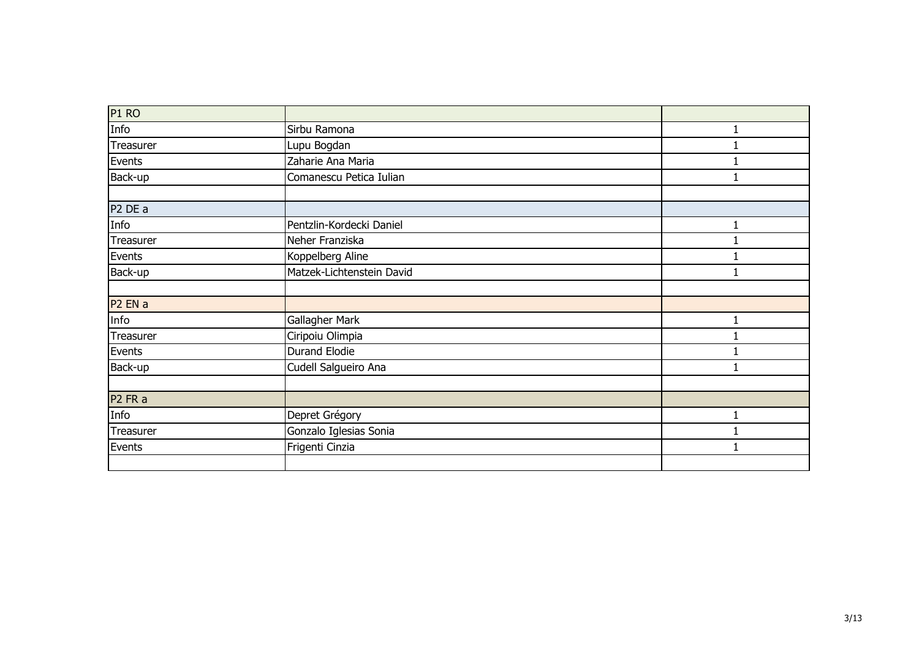| P <sub>1</sub> RO              |                           |   |
|--------------------------------|---------------------------|---|
| Info                           | Sirbu Ramona              |   |
| Treasurer                      | Lupu Bogdan               |   |
| Events                         | Zaharie Ana Maria         |   |
| Back-up                        | Comanescu Petica Iulian   |   |
|                                |                           |   |
| P <sub>2</sub> DE a            |                           |   |
| Info                           | Pentzlin-Kordecki Daniel  | 1 |
| Treasurer                      | Neher Franziska           |   |
| Events                         | Koppelberg Aline          |   |
| Back-up                        | Matzek-Lichtenstein David |   |
|                                |                           |   |
| P <sub>2</sub> EN a            |                           |   |
| Info                           | Gallagher Mark            |   |
| Treasurer                      | Ciripoiu Olimpia          |   |
| Events                         | <b>Durand Elodie</b>      |   |
| Back-up                        | Cudell Salgueiro Ana      |   |
|                                |                           |   |
| P <sub>2</sub> FR <sub>a</sub> |                           |   |
| Info                           | Depret Grégory            |   |
| Treasurer                      | Gonzalo Iglesias Sonia    |   |
| Events                         | Frigenti Cinzia           |   |
|                                |                           |   |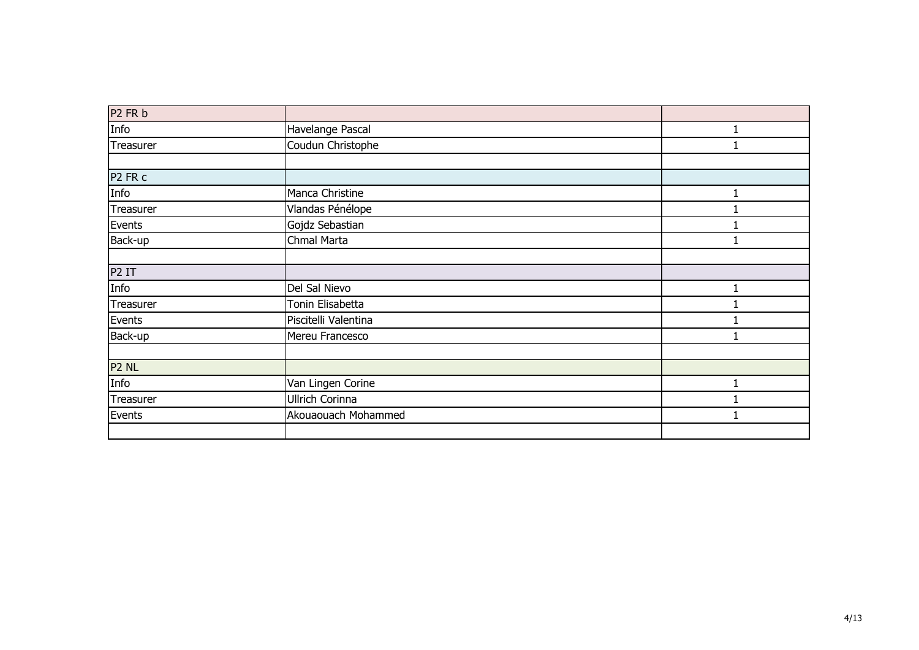| P <sub>2</sub> FR b            |                      |  |
|--------------------------------|----------------------|--|
| Info                           | Havelange Pascal     |  |
| Treasurer                      | Coudun Christophe    |  |
|                                |                      |  |
| P <sub>2</sub> FR <sub>c</sub> |                      |  |
| Info                           | Manca Christine      |  |
| Treasurer                      | Vlandas Pénélope     |  |
| Events                         | Gojdz Sebastian      |  |
| Back-up                        | Chmal Marta          |  |
|                                |                      |  |
| P <sub>2</sub> IT              |                      |  |
| Info                           | Del Sal Nievo        |  |
| Treasurer                      | Tonin Elisabetta     |  |
| Events                         | Piscitelli Valentina |  |
| Back-up                        | Mereu Francesco      |  |
|                                |                      |  |
| P <sub>2</sub> NL              |                      |  |
| Info                           | Van Lingen Corine    |  |
| Treasurer                      | Ullrich Corinna      |  |
| Events                         | Akouaouach Mohammed  |  |
|                                |                      |  |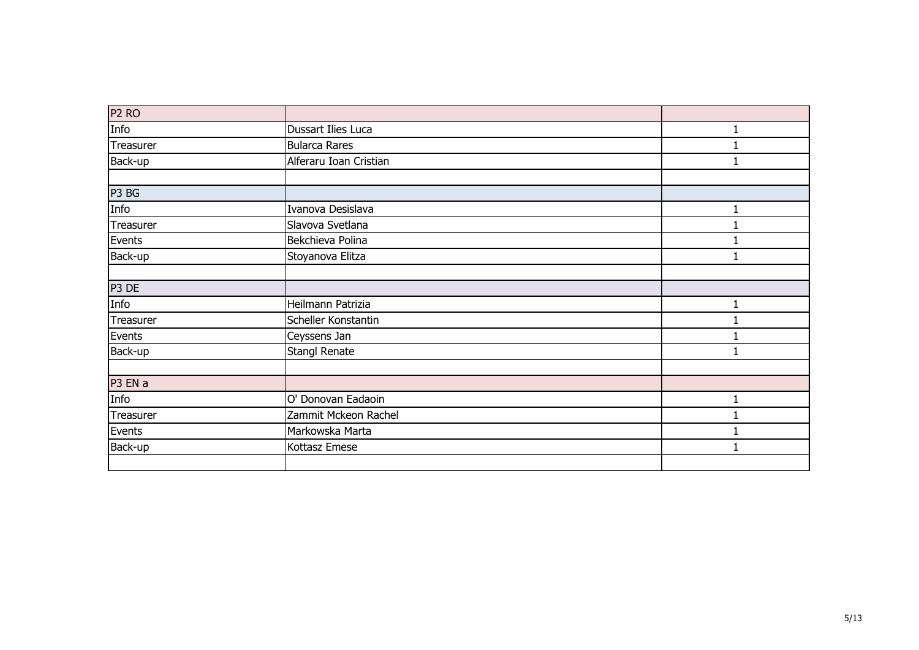| P <sub>2</sub> RO |                        |   |
|-------------------|------------------------|---|
| Info              | Dussart Ilies Luca     |   |
| Treasurer         | <b>Bularca Rares</b>   |   |
| Back-up           | Alferaru Ioan Cristian |   |
|                   |                        |   |
| P3 BG             |                        |   |
| Info              | Ivanova Desislava      |   |
| Treasurer         | Slavova Svetlana       |   |
| Events            | Bekchieva Polina       |   |
| Back-up           | Stoyanova Elitza       |   |
|                   |                        |   |
| P3 DE             |                        |   |
| Info              | Heilmann Patrizia      | 1 |
| Treasurer         | Scheller Konstantin    |   |
| Events            | Ceyssens Jan           |   |
| Back-up           | Stangl Renate          |   |
|                   |                        |   |
| P3 EN a           |                        |   |
| Info              | O' Donovan Eadaoin     | 1 |
| Treasurer         | Zammit Mckeon Rachel   |   |
| Events            | Markowska Marta        |   |
| Back-up           | Kottasz Emese          | 1 |
|                   |                        |   |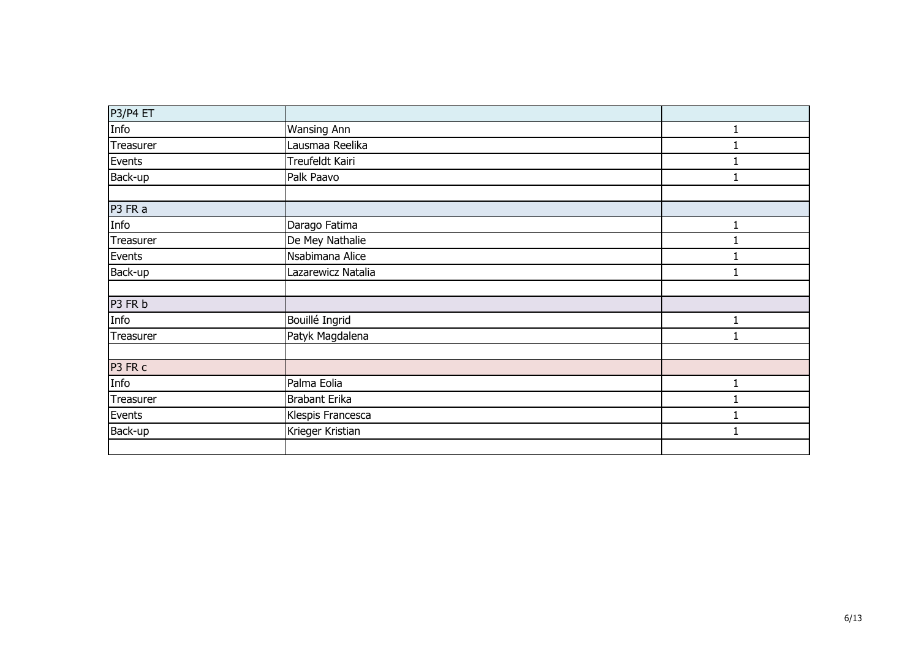| P3/P4 ET  |                      |   |
|-----------|----------------------|---|
| Info      | <b>Wansing Ann</b>   |   |
| Treasurer | Lausmaa Reelika      |   |
| Events    | Treufeldt Kairi      |   |
| Back-up   | Palk Paavo           |   |
|           |                      |   |
| P3 FR a   |                      |   |
| Info      | Darago Fatima        | 1 |
| Treasurer | De Mey Nathalie      |   |
| Events    | Nsabimana Alice      |   |
| Back-up   | Lazarewicz Natalia   |   |
|           |                      |   |
| P3 FR b   |                      |   |
| Info      | Bouillé Ingrid       |   |
| Treasurer | Patyk Magdalena      |   |
|           |                      |   |
| P3 FR c   |                      |   |
| Info      | Palma Eolia          |   |
| Treasurer | <b>Brabant Erika</b> |   |
| Events    | Klespis Francesca    |   |
| Back-up   | Krieger Kristian     |   |
|           |                      |   |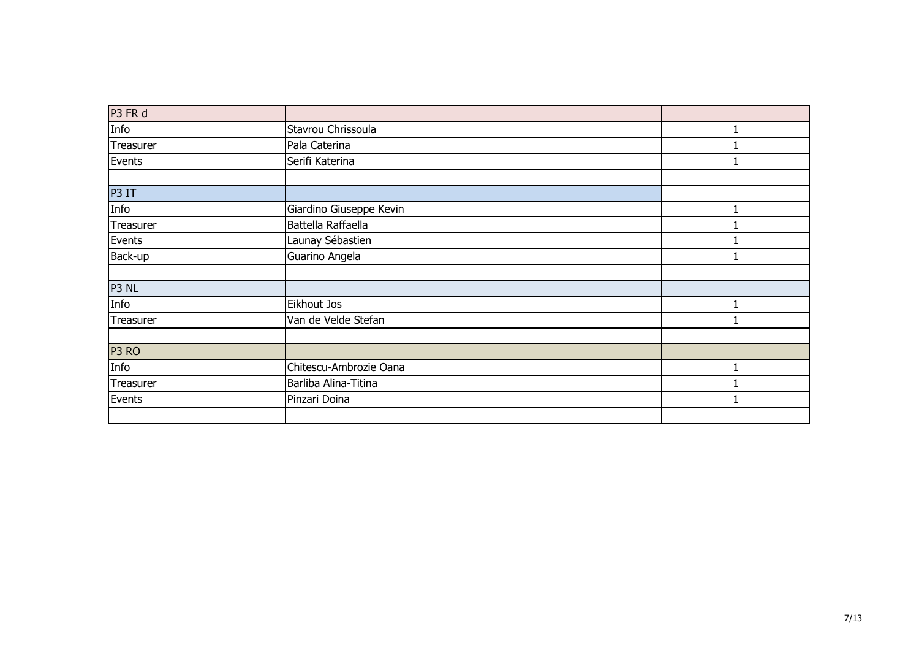| P3 FR d           |                         |  |
|-------------------|-------------------------|--|
| Info              | Stavrou Chrissoula      |  |
| Treasurer         | Pala Caterina           |  |
| Events            | Serifi Katerina         |  |
|                   |                         |  |
| P3 IT             |                         |  |
| Info              | Giardino Giuseppe Kevin |  |
| Treasurer         | Battella Raffaella      |  |
| Events            | Launay Sébastien        |  |
| Back-up           | Guarino Angela          |  |
|                   |                         |  |
| P3 NL             |                         |  |
| Info              | Eikhout Jos             |  |
| Treasurer         | Van de Velde Stefan     |  |
|                   |                         |  |
| P <sub>3</sub> RO |                         |  |
| Info              | Chitescu-Ambrozie Oana  |  |
| Treasurer         | Barliba Alina-Titina    |  |
| Events            | Pinzari Doina           |  |
|                   |                         |  |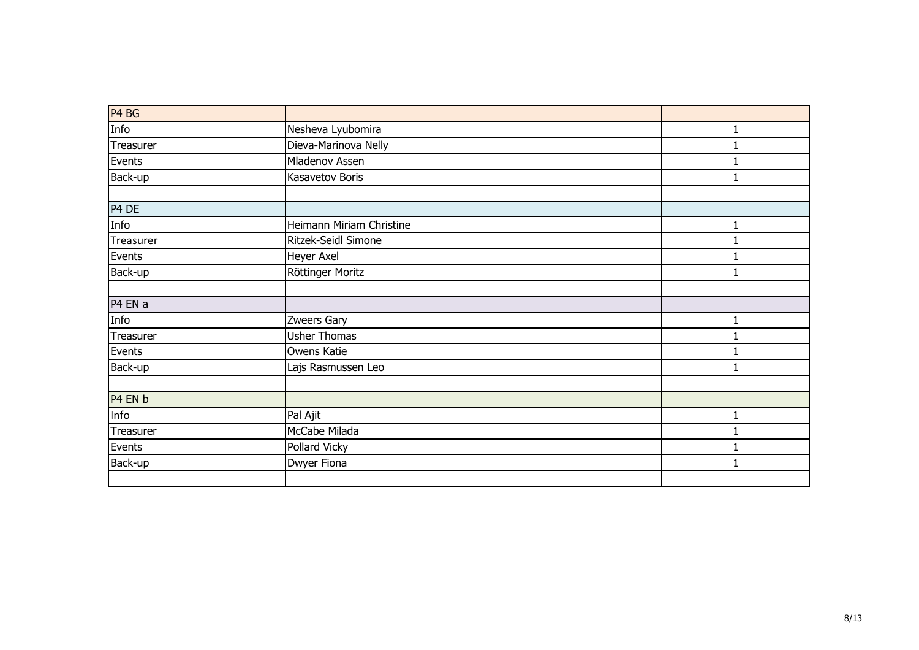| P4 BG     |                          |              |
|-----------|--------------------------|--------------|
| Info      | Nesheva Lyubomira        | $\mathbf{1}$ |
| Treasurer | Dieva-Marinova Nelly     |              |
| Events    | Mladenov Assen           |              |
| Back-up   | Kasavetov Boris          |              |
|           |                          |              |
| P4 DE     |                          |              |
| Info      | Heimann Miriam Christine |              |
| Treasurer | Ritzek-Seidl Simone      |              |
| Events    | Heyer Axel               |              |
| Back-up   | Röttinger Moritz         |              |
|           |                          |              |
| P4 EN a   |                          |              |
| Info      | Zweers Gary              |              |
| Treasurer | <b>Usher Thomas</b>      |              |
| Events    | Owens Katie              |              |
| Back-up   | Lajs Rasmussen Leo       |              |
|           |                          |              |
| P4 EN b   |                          |              |
| Info      | Pal Ajit                 | 1            |
| Treasurer | McCabe Milada            |              |
| Events    | Pollard Vicky            |              |
| Back-up   | Dwyer Fiona              |              |
|           |                          |              |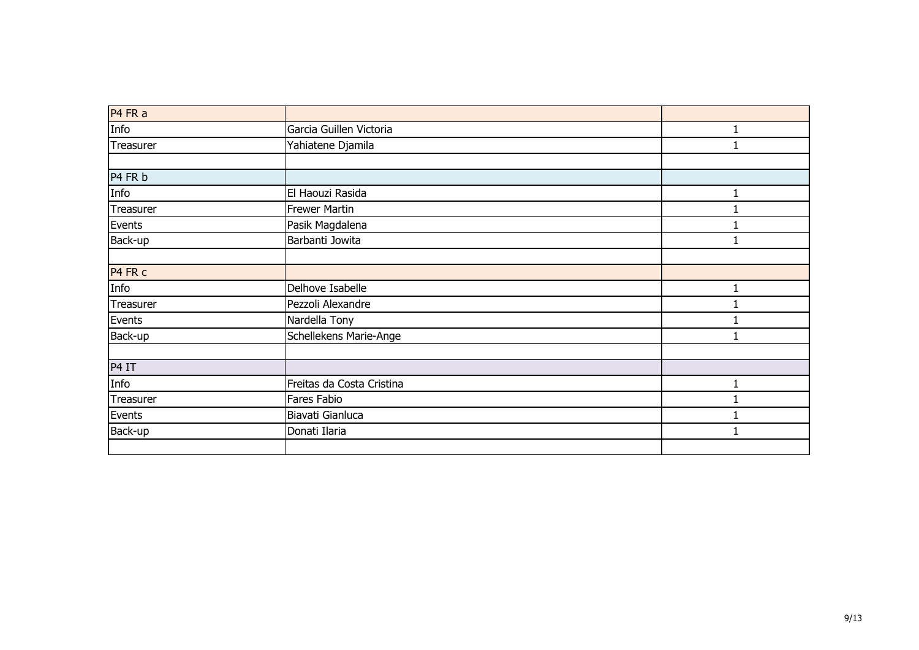| P4 FR a   |                           |  |
|-----------|---------------------------|--|
| Info      | Garcia Guillen Victoria   |  |
| Treasurer | Yahiatene Djamila         |  |
|           |                           |  |
| P4 FR b   |                           |  |
| Info      | El Haouzi Rasida          |  |
| Treasurer | <b>Frewer Martin</b>      |  |
| Events    | Pasik Magdalena           |  |
| Back-up   | Barbanti Jowita           |  |
|           |                           |  |
| P4 FR c   |                           |  |
| Info      | Delhove Isabelle          |  |
| Treasurer | Pezzoli Alexandre         |  |
| Events    | Nardella Tony             |  |
| Back-up   | Schellekens Marie-Ange    |  |
|           |                           |  |
| P4 IT     |                           |  |
| Info      | Freitas da Costa Cristina |  |
| Treasurer | Fares Fabio               |  |
| Events    | Biavati Gianluca          |  |
| Back-up   | Donati Ilaria             |  |
|           |                           |  |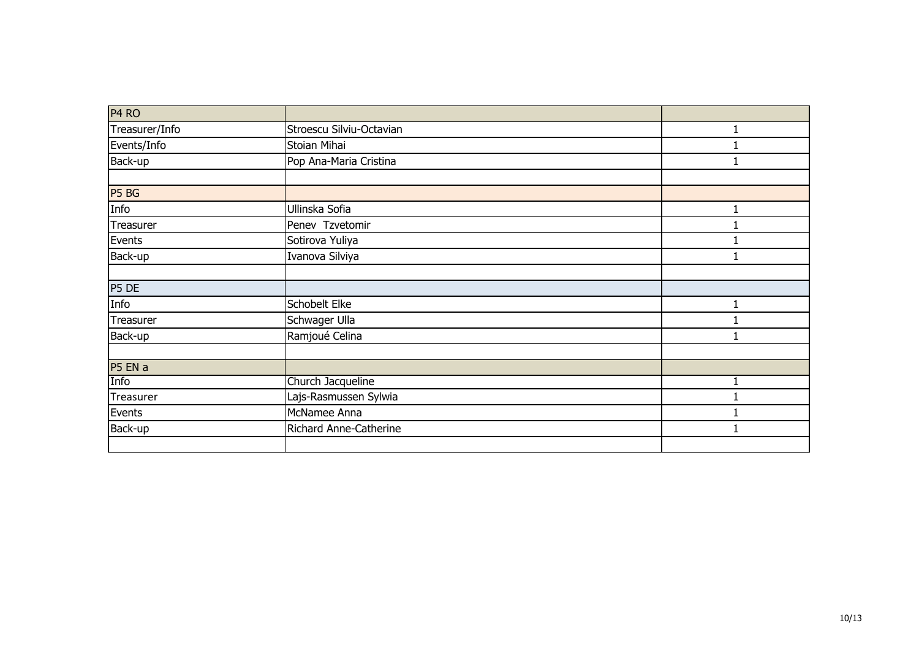| P <sub>4</sub> RO |                          |  |
|-------------------|--------------------------|--|
| Treasurer/Info    | Stroescu Silviu-Octavian |  |
| Events/Info       | Stoian Mihai             |  |
| Back-up           | Pop Ana-Maria Cristina   |  |
|                   |                          |  |
| P5 BG             |                          |  |
| Info              | Ullinska Sofia           |  |
| Treasurer         | Penev Tzvetomir          |  |
| Events            | Sotirova Yuliya          |  |
| Back-up           | Ivanova Silviya          |  |
|                   |                          |  |
| P5 DE             |                          |  |
| Info              | Schobelt Elke            |  |
| Treasurer         | Schwager Ulla            |  |
| Back-up           | Ramjoué Celina           |  |
|                   |                          |  |
| P5 EN a           |                          |  |
| Info              | Church Jacqueline        |  |
| Treasurer         | Lajs-Rasmussen Sylwia    |  |
| Events            | McNamee Anna             |  |
| Back-up           | Richard Anne-Catherine   |  |
|                   |                          |  |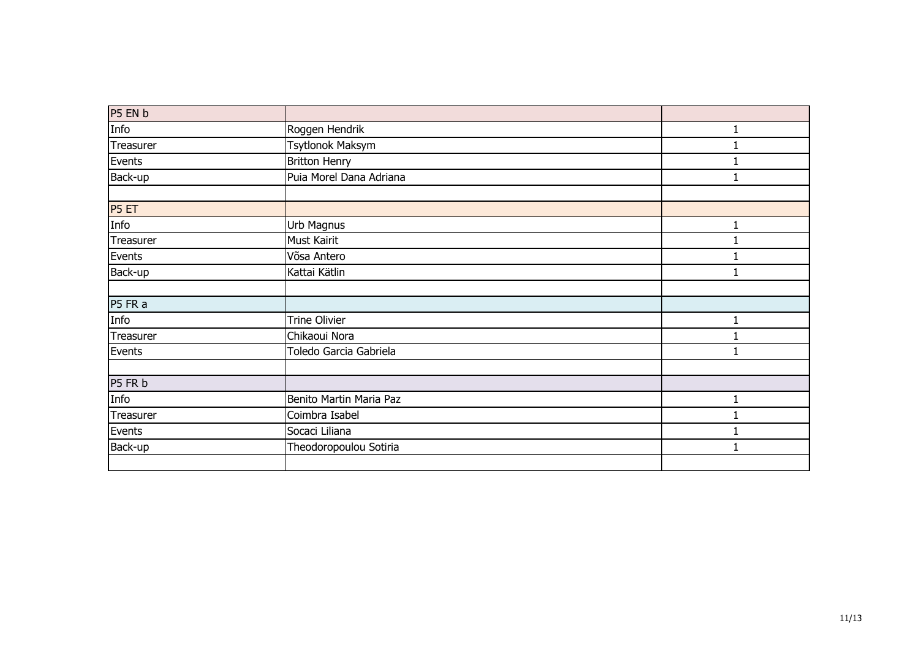| P5 EN b   |                         |   |
|-----------|-------------------------|---|
| Info      | Roggen Hendrik          |   |
| Treasurer | Tsytlonok Maksym        |   |
| Events    | <b>Britton Henry</b>    |   |
| Back-up   | Puia Morel Dana Adriana |   |
|           |                         |   |
| P5 ET     |                         |   |
| Info      | Urb Magnus              | 1 |
| Treasurer | Must Kairit             |   |
| Events    | Võsa Antero             |   |
| Back-up   | Kattai Kätlin           |   |
|           |                         |   |
| P5 FR a   |                         |   |
| Info      | Trine Olivier           |   |
| Treasurer | Chikaoui Nora           |   |
| Events    | Toledo Garcia Gabriela  |   |
|           |                         |   |
| P5 FR b   |                         |   |
| Info      | Benito Martin Maria Paz |   |
| Treasurer | Coimbra Isabel          |   |
| Events    | Socaci Liliana          |   |
| Back-up   | Theodoropoulou Sotiria  |   |
|           |                         |   |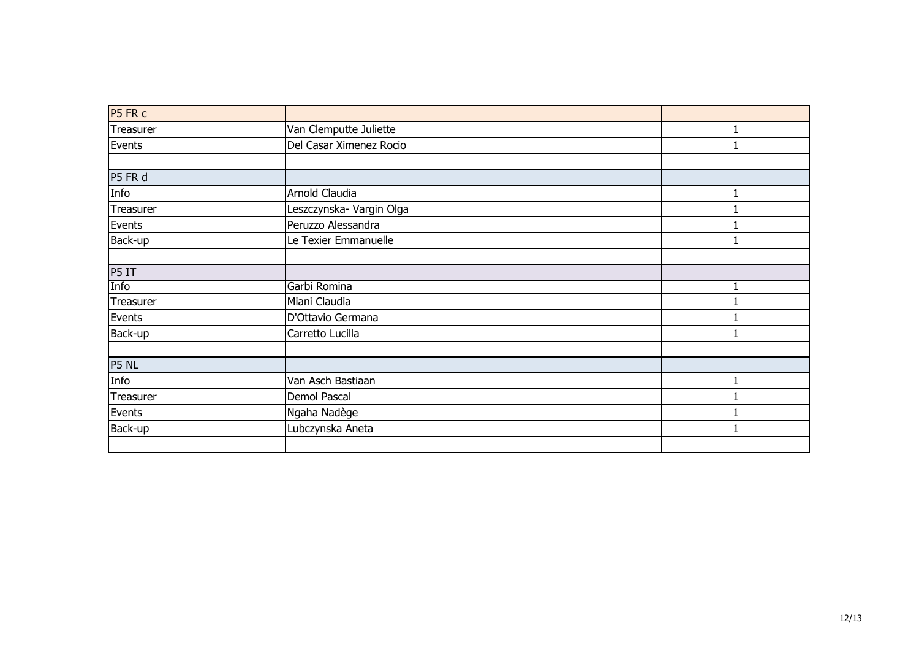| P5 FR c   |                          |  |
|-----------|--------------------------|--|
| Treasurer | Van Clemputte Juliette   |  |
| Events    | Del Casar Ximenez Rocio  |  |
|           |                          |  |
| P5 FR d   |                          |  |
| Info      | Arnold Claudia           |  |
| Treasurer | Leszczynska- Vargin Olga |  |
| Events    | Peruzzo Alessandra       |  |
| Back-up   | Le Texier Emmanuelle     |  |
|           |                          |  |
| P5 IT     |                          |  |
| Info      | Garbi Romina             |  |
| Treasurer | Miani Claudia            |  |
| Events    | D'Ottavio Germana        |  |
| Back-up   | Carretto Lucilla         |  |
|           |                          |  |
| P5 NL     |                          |  |
| Info      | Van Asch Bastiaan        |  |
| Treasurer | Demol Pascal             |  |
| Events    | Ngaha Nadège             |  |
| Back-up   | Lubczynska Aneta         |  |
|           |                          |  |